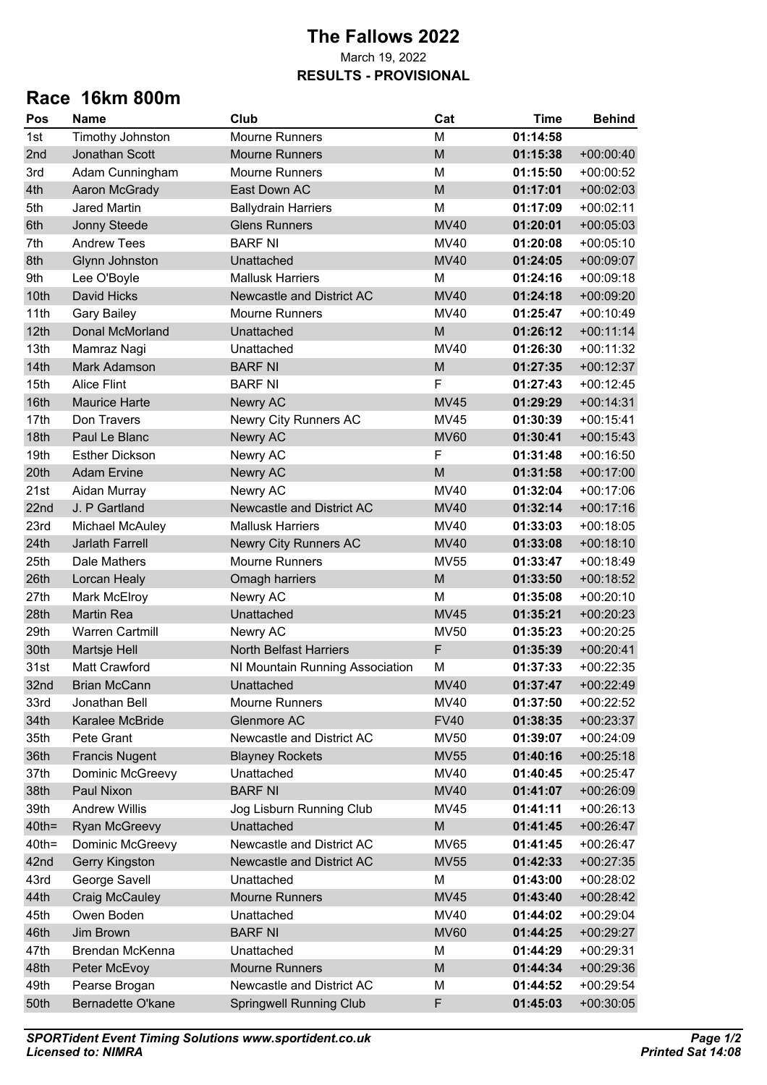## **The Fallows 2022** March 19, 2022 **RESULTS - PROVISIONAL**

## **Race 16km 800m**

| Pos      | <b>Name</b>            | Club                            | Cat         | <b>Time</b> | <b>Behind</b> |
|----------|------------------------|---------------------------------|-------------|-------------|---------------|
| 1st      | Timothy Johnston       | <b>Mourne Runners</b>           | M           | 01:14:58    |               |
| 2nd      | Jonathan Scott         | <b>Mourne Runners</b>           | M           | 01:15:38    | $+00:00:40$   |
| 3rd      | Adam Cunningham        | <b>Mourne Runners</b>           | M           | 01:15:50    | $+00:00:52$   |
| 4th      | Aaron McGrady          | East Down AC                    | M           | 01:17:01    | $+00:02:03$   |
| 5th      | <b>Jared Martin</b>    | <b>Ballydrain Harriers</b>      | M           | 01:17:09    | $+00:02:11$   |
| 6th      | Jonny Steede           | <b>Glens Runners</b>            | <b>MV40</b> | 01:20:01    | $+00:05:03$   |
| 7th      | <b>Andrew Tees</b>     | <b>BARF NI</b>                  | <b>MV40</b> | 01:20:08    | $+00:05:10$   |
| 8th      | Glynn Johnston         | Unattached                      | <b>MV40</b> | 01:24:05    | $+00:09:07$   |
| 9th      | Lee O'Boyle            | <b>Mallusk Harriers</b>         | M           | 01:24:16    | $+00:09:18$   |
| 10th     | David Hicks            | Newcastle and District AC       | <b>MV40</b> | 01:24:18    | $+00:09:20$   |
| 11th     | <b>Gary Bailey</b>     | <b>Mourne Runners</b>           | <b>MV40</b> | 01:25:47    | $+00:10:49$   |
| 12th     | Donal McMorland        | Unattached                      | M           | 01:26:12    | $+00:11:14$   |
| 13th     | Mamraz Nagi            | Unattached                      | <b>MV40</b> | 01:26:30    | $+00:11:32$   |
| 14th     | <b>Mark Adamson</b>    | <b>BARF NI</b>                  | M           | 01:27:35    | $+00:12:37$   |
| 15th     | <b>Alice Flint</b>     | <b>BARF NI</b>                  | F           | 01:27:43    | $+00:12:45$   |
| 16th     | <b>Maurice Harte</b>   | <b>Newry AC</b>                 | <b>MV45</b> | 01:29:29    | $+00:14:31$   |
| 17th     | Don Travers            | Newry City Runners AC           | <b>MV45</b> | 01:30:39    | $+00:15:41$   |
| 18th     | Paul Le Blanc          | Newry AC                        | <b>MV60</b> | 01:30:41    | $+00:15:43$   |
| 19th     | <b>Esther Dickson</b>  | Newry AC                        | F           | 01:31:48    | $+00:16:50$   |
| 20th     | <b>Adam Ervine</b>     | Newry AC                        | M           | 01:31:58    | $+00:17:00$   |
| 21st     | Aidan Murray           | Newry AC                        | MV40        | 01:32:04    | $+00:17:06$   |
| 22nd     | J. P Gartland          | Newcastle and District AC       | <b>MV40</b> | 01:32:14    | $+00:17:16$   |
| 23rd     | Michael McAuley        | <b>Mallusk Harriers</b>         | MV40        | 01:33:03    | $+00:18:05$   |
| 24th     | Jarlath Farrell        | Newry City Runners AC           | <b>MV40</b> | 01:33:08    | $+00:18:10$   |
| 25th     | Dale Mathers           | <b>Mourne Runners</b>           | <b>MV55</b> | 01:33:47    | $+00:18:49$   |
| 26th     | Lorcan Healy           | Omagh harriers                  | M           | 01:33:50    | $+00:18:52$   |
| 27th     | Mark McElroy           | Newry AC                        | M           | 01:35:08    | $+00:20:10$   |
| 28th     | <b>Martin Rea</b>      | Unattached                      | <b>MV45</b> | 01:35:21    | $+00:20:23$   |
| 29th     | <b>Warren Cartmill</b> | Newry AC                        | <b>MV50</b> | 01:35:23    | $+00:20:25$   |
| 30th     | Martsje Hell           | <b>North Belfast Harriers</b>   | F           | 01:35:39    | $+00:20:41$   |
| 31st     | Matt Crawford          | NI Mountain Running Association | M           | 01:37:33    | $+00:22:35$   |
| 32nd     | <b>Brian McCann</b>    | Unattached                      | <b>MV40</b> | 01:37:47    | $+00:22:49$   |
| 33rd     | Jonathan Bell          | <b>Mourne Runners</b>           | <b>MV40</b> | 01:37:50    | $+00:22:52$   |
| 34th     | Karalee McBride        | Glenmore AC                     | <b>FV40</b> | 01:38:35    | $+00:23:37$   |
| 35th     | Pete Grant             | Newcastle and District AC       | MV50        | 01:39:07    | $+00:24:09$   |
| 36th     | <b>Francis Nugent</b>  | <b>Blayney Rockets</b>          | <b>MV55</b> | 01:40:16    | $+00:25:18$   |
| 37th     | Dominic McGreevy       | Unattached                      | MV40        | 01:40:45    | $+00:25:47$   |
| 38th     | Paul Nixon             | <b>BARF NI</b>                  | <b>MV40</b> | 01:41:07    | $+00:26:09$   |
| 39th     | <b>Andrew Willis</b>   | Jog Lisburn Running Club        | MV45        | 01:41:11    | $+00:26:13$   |
| $40th =$ | <b>Ryan McGreevy</b>   | Unattached                      | M           | 01:41:45    | $+00:26:47$   |
| $40th =$ | Dominic McGreevy       | Newcastle and District AC       | <b>MV65</b> | 01:41:45    | $+00:26:47$   |
| 42nd     | <b>Gerry Kingston</b>  | Newcastle and District AC       | <b>MV55</b> | 01:42:33    | $+00:27:35$   |
| 43rd     | George Savell          | Unattached                      | M           | 01:43:00    | $+00:28:02$   |
| 44th     | <b>Craig McCauley</b>  | <b>Mourne Runners</b>           | <b>MV45</b> | 01:43:40    | $+00:28:42$   |
| 45th     | Owen Boden             | Unattached                      | <b>MV40</b> | 01:44:02    | $+00:29:04$   |
| 46th     | Jim Brown              | <b>BARF NI</b>                  | <b>MV60</b> | 01:44:25    | $+00:29:27$   |
| 47th     | Brendan McKenna        | Unattached                      | М           | 01:44:29    | $+00:29:31$   |
| 48th     | Peter McEvoy           | <b>Mourne Runners</b>           | M           | 01:44:34    | $+00:29:36$   |
| 49th     | Pearse Brogan          | Newcastle and District AC       | М           | 01:44:52    | $+00:29:54$   |
| 50th     | Bernadette O'kane      | <b>Springwell Running Club</b>  | F           | 01:45:03    | $+00:30:05$   |
|          |                        |                                 |             |             |               |